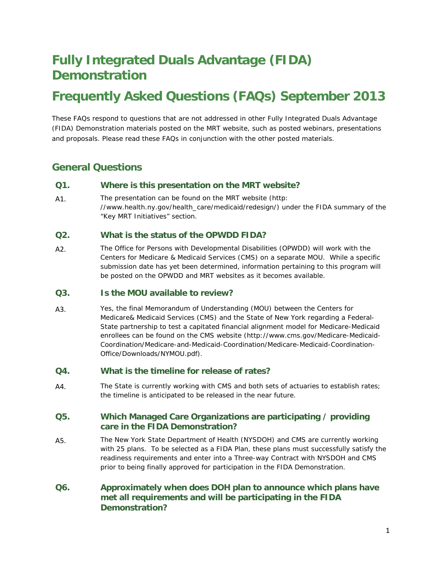# **Fully Integrated Duals Advantage (FIDA) Demonstration**

# **Frequently Asked Questions (FAQs) September 2013**

These FAQs respond to questions that are not addressed in other Fully Integrated Duals Advantage (FIDA) Demonstration materials posted on the MRT website, such as posted webinars, presentations and proposals. Please read these FAQs in conjunction with the other posted materials.

# **General Questions**

#### **Q1. Where is this presentation on the MRT website?**

A1. The presentation can be found on the MRT website (http: //www.health.ny.gov/health\_care/medicaid/redesign/) under the FIDA summary of the "Key MRT Initiatives" section.

#### **Q2. What is the status of the OPWDD FIDA?**

A2. The Office for Persons with Developmental Disabilities (OPWDD) will work with the Centers for Medicare & Medicaid Services (CMS) on a separate MOU. While a specific submission date has yet been determined, information pertaining to this program will be posted on the OPWDD and MRT websites as it becomes available.

#### **Q3. Is the MOU available to review?**

A3. Yes, the final Memorandum of Understanding (MOU) between the Centers for Medicare& Medicaid Services (CMS) and the State of New York regarding a Federal-State partnership to test a capitated financial alignment model for Medicare-Medicaid enrollees can be found on the CMS website (http://www.cms.gov/Medicare-Medicaid-Coordination/Medicare-and-Medicaid-Coordination/Medicare-Medicaid-Coordination-Office/Downloads/NYMOU.pdf).

### **Q4. What is the timeline for release of rates?**

A4. The State is currently working with CMS and both sets of actuaries to establish rates; the timeline is anticipated to be released in the near future.

#### **Q5. Which Managed Care Organizations are participating / providing care in the FIDA Demonstration?**

- A5. The New York State Department of Health (NYSDOH) and CMS are currently working with 25 plans. To be selected as a FIDA Plan, these plans must successfully satisfy the readiness requirements and enter into a Three-way Contract with NYSDOH and CMS prior to being finally approved for participation in the FIDA Demonstration.
- **Q6. Approximately when does DOH plan to announce which plans have met all requirements and will be participating in the FIDA Demonstration?**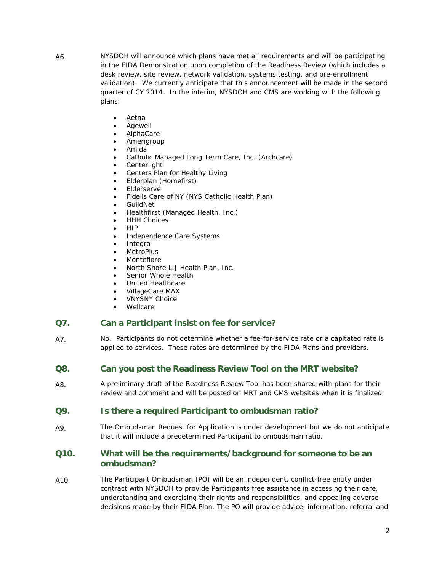- A6. NYSDOH will announce which plans have met all requirements and will be participating in the FIDA Demonstration upon completion of the Readiness Review (which includes a desk review, site review, network validation, systems testing, and pre-enrollment validation). We currently anticipate that this announcement will be made in the second quarter of CY 2014. In the interim, NYSDOH and CMS are working with the following plans:
	- Aetna
	- Agewell
	- AlphaCare
	- Amerigroup
	- Amida
	- Catholic Managed Long Term Care, Inc. (Archcare)
	- **Centerlight**
	- Centers Plan for Healthy Living
	- Elderplan (Homefirst)
	- **Elderserve**
	- Fidelis Care of NY (NYS Catholic Health Plan)
	- GuildNet
	- Healthfirst (Managed Health, Inc.)
	- **HHH Choices**
	- HIP
	- Independence Care Systems
	- **Integra**
	- **MetroPlus**
	- **Montefiore**
	- North Shore LIJ Health Plan, Inc.
	- Senior Whole Health
	- United Healthcare
	- VillageCare MAX
	- VNYSNY Choice
	- Wellcare

#### **Q7. Can a Participant insist on fee for service?**

- A7. No. Participants do not determine whether a fee-for-service rate or a capitated rate is applied to services. These rates are determined by the FIDA Plans and providers.
- **Q8. Can you post the Readiness Review Tool on the MRT website?**
- A8. A preliminary draft of the Readiness Review Tool has been shared with plans for their review and comment and will be posted on MRT and CMS websites when it is finalized.

#### **Q9. Is there a required Participant to ombudsman ratio?**

A9. The Ombudsman Request for Application is under development but we do not anticipate that it will include a predetermined Participant to ombudsman ratio.

### **Q10. What will be the requirements/background for someone to be an ombudsman?**

A10. The Participant Ombudsman (PO) will be an independent, conflict-free entity under contract with NYSDOH to provide Participants free assistance in accessing their care, understanding and exercising their rights and responsibilities, and appealing adverse decisions made by their FIDA Plan. The PO will provide advice, information, referral and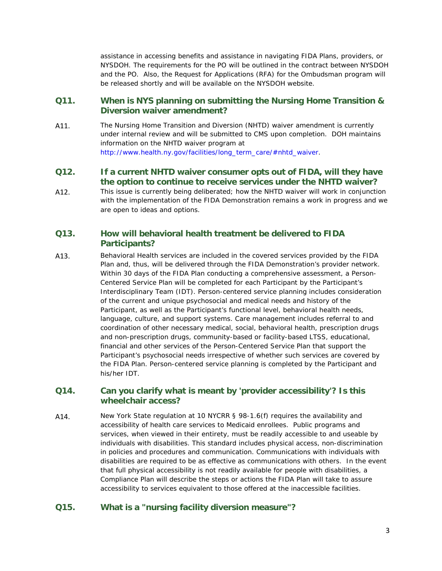assistance in accessing benefits and assistance in navigating FIDA Plans, providers, or NYSDOH. The requirements for the PO will be outlined in the contract between NYSDOH and the PO. Also, the Request for Applications (RFA) for the Ombudsman program will be released shortly and will be available on the NYSDOH website.

### **Q11. When is NYS planning on submitting the Nursing Home Transition & Diversion waiver amendment?**

A11. The Nursing Home Transition and Diversion (NHTD) waiver amendment is currently under internal review and will be submitted to CMS upon completion. DOH maintains information on the NHTD waiver program at [http://www.health.ny.gov/facilities/long\\_term\\_care/#nhtd\\_waiver.](http://www.nyhealth.gov/facilities/long_term_care/#nhtd_waiver)

#### **Q12. If a current NHTD waiver consumer opts out of FIDA, will they have the option to continue to receive services under the NHTD waiver?**

A12. This issue is currently being deliberated; how the NHTD waiver will work in conjunction with the implementation of the FIDA Demonstration remains a work in progress and we are open to ideas and options.

# **Q13. How will behavioral health treatment be delivered to FIDA Participants?**

A13. Behavioral Health services are included in the covered services provided by the FIDA Plan and, thus, will be delivered through the FIDA Demonstration's provider network. Within 30 days of the FIDA Plan conducting a comprehensive assessment, a Person-Centered Service Plan will be completed for each Participant by the Participant's Interdisciplinary Team (IDT). Person-centered service planning includes consideration of the current and unique psychosocial and medical needs and history of the Participant, as well as the Participant's functional level, behavioral health needs, language, culture, and support systems. Care management includes referral to and coordination of other necessary medical, social, behavioral health, prescription drugs and non-prescription drugs, community-based or facility-based LTSS, educational, financial and other services of the Person-Centered Service Plan that support the Participant's psychosocial needs irrespective of whether such services are covered by the FIDA Plan. Person-centered service planning is completed by the Participant and his/her IDT.

### **Q14. Can you clarify what is meant by 'provider accessibility'? Is this wheelchair access?**

A14. New York State regulation at 10 NYCRR § 98-1.6(f) requires the availability and accessibility of health care services to Medicaid enrollees. Public programs and services, when viewed in their entirety, must be readily accessible to and useable by individuals with disabilities. This standard includes physical access, non-discrimination in policies and procedures and communication. Communications with individuals with disabilities are required to be as effective as communications with others. In the event that full physical accessibility is not readily available for people with disabilities, a Compliance Plan will describe the steps or actions the FIDA Plan will take to assure accessibility to services equivalent to those offered at the inaccessible facilities.

## **Q15. What is a "nursing facility diversion measure"?**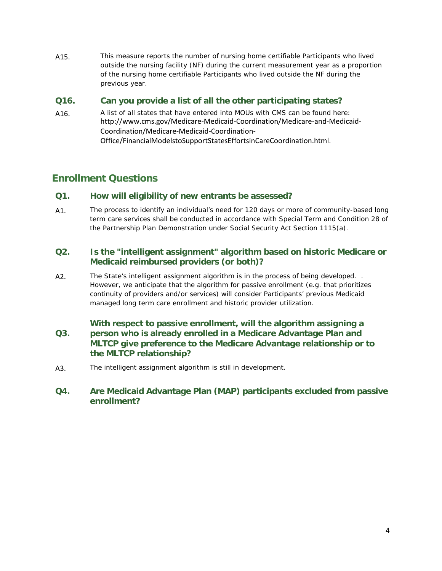A15. This measure reports the number of nursing home certifiable Participants who lived outside the nursing facility (NF) during the current measurement year as a proportion of the nursing home certifiable Participants who lived outside the NF during the previous year.

# **Q16. Can you provide a list of all the other participating states?**

A16. A list of all states that have entered into MOUs with CMS can be found here: [http://www.cms.gov/Medicare-Medicaid-Coordination/Medicare-and-Medicaid-](http://www.cms.gov/Medicare-Medicaid-Coordination/Medicare-and-Medicaid-Coordination/Medicare-Medicaid-Coordination-Office/FinancialModelstoSupportStatesEffortsinCareCoordination.html)[Coordination/Medicare-Medicaid-Coordination-](http://www.cms.gov/Medicare-Medicaid-Coordination/Medicare-and-Medicaid-Coordination/Medicare-Medicaid-Coordination-Office/FinancialModelstoSupportStatesEffortsinCareCoordination.html)[Office/FinancialModelstoSupportStatesEffortsinCareCoordination.html](http://www.cms.gov/Medicare-Medicaid-Coordination/Medicare-and-Medicaid-Coordination/Medicare-Medicaid-Coordination-Office/FinancialModelstoSupportStatesEffortsinCareCoordination.html).

# **Enrollment Questions**

### **Q1. How will eligibility of new entrants be assessed?**

A1. The process to identify an individual's need for 120 days or more of community-based long term care services shall be conducted in accordance with Special Term and Condition 28 of the Partnership Plan Demonstration under Social Security Act Section 1115(a).

# **Q2. Is the "intelligent assignment" algorithm based on historic Medicare or Medicaid reimbursed providers (or both)?**

A2. The State's intelligent assignment algorithm is in the process of being developed. . However, we anticipate that the algorithm for passive enrollment (e.g. that prioritizes continuity of providers and/or services) will consider Participants' previous Medicaid managed long term care enrollment and historic provider utilization.

#### **Q3. With respect to passive enrollment, will the algorithm assigning a person who is already enrolled in a Medicare Advantage Plan and MLTCP give preference to the Medicare Advantage relationship or to the MLTCP relationship?**

A3. The intelligent assignment algorithm is still in development.

# **Q4. Are Medicaid Advantage Plan (MAP) participants excluded from passive enrollment?**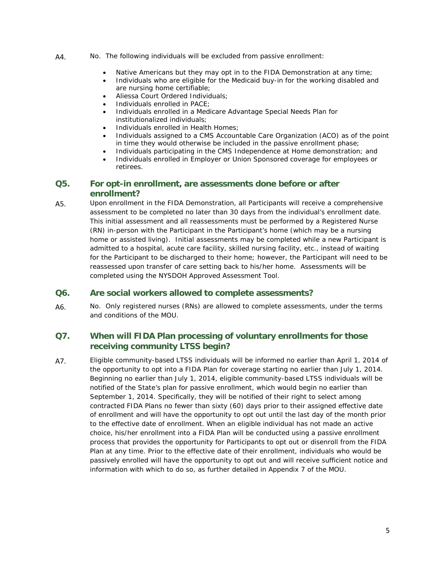- A4. No. The following individuals will be excluded from passive enrollment:
	- Native Americans but they may opt in to the FIDA Demonstration at any time;
	- Individuals who are eligible for the Medicaid buy-in for the working disabled and are nursing home certifiable;
	- Aliessa Court Ordered Individuals;
	- Individuals enrolled in PACE;
	- Individuals enrolled in a Medicare Advantage Special Needs Plan for institutionalized individuals;
	- Individuals enrolled in Health Homes;
	- Individuals assigned to a CMS Accountable Care Organization (ACO) as of the point in time they would otherwise be included in the passive enrollment phase;
	- Individuals participating in the CMS Independence at Home demonstration; and
	- Individuals enrolled in Employer or Union Sponsored coverage for employees or retirees.

#### **Q5. For opt-in enrollment, are assessments done before or after enrollment?**

A5. Upon enrollment in the FIDA Demonstration, all Participants will receive a comprehensive assessment to be completed no later than 30 days from the individual's enrollment date. This initial assessment and all reassessments must be performed by a Registered Nurse (RN) in-person with the Participant in the Participant's home (which may be a nursing home or assisted living). Initial assessments may be completed while a new Participant is admitted to a hospital, acute care facility, skilled nursing facility, etc., instead of waiting for the Participant to be discharged to their home; however, the Participant will need to be reassessed upon transfer of care setting back to his/her home. Assessments will be completed using the NYSDOH Approved Assessment Tool.

### **Q6. Are social workers allowed to complete assessments?**

A6. No. Only registered nurses (RNs) are allowed to complete assessments, under the terms and conditions of the MOU.

# **Q7. When will FIDA Plan processing of voluntary enrollments for those receiving community LTSS begin?**

A7. Eligible community-based LTSS individuals will be informed no earlier than April 1, 2014 of the opportunity to opt into a FIDA Plan for coverage starting no earlier than July 1, 2014. Beginning no earlier than July 1, 2014, eligible community-based LTSS individuals will be notified of the State's plan for passive enrollment, which would begin no earlier than September 1, 2014. Specifically, they will be notified of their right to select among contracted FIDA Plans no fewer than sixty (60) days prior to their assigned effective date of enrollment and will have the opportunity to opt out until the last day of the month prior to the effective date of enrollment. When an eligible individual has not made an active choice, his/her enrollment into a FIDA Plan will be conducted using a passive enrollment process that provides the opportunity for Participants to opt out or disenroll from the FIDA Plan at any time. Prior to the effective date of their enrollment, individuals who would be passively enrolled will have the opportunity to opt out and will receive sufficient notice and information with which to do so, as further detailed in Appendix 7 of the MOU.

5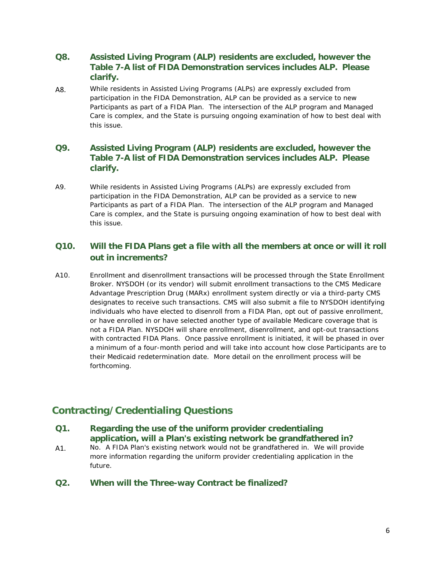# **Q8. Assisted Living Program (ALP) residents are excluded, however the Table 7-A list of FIDA Demonstration services includes ALP. Please clarify.**

A8. While residents in Assisted Living Programs (ALPs) are expressly excluded from participation in the FIDA Demonstration, ALP can be provided as a service to new Participants as part of a FIDA Plan. The intersection of the ALP program and Managed Care is complex, and the State is pursuing ongoing examination of how to best deal with this issue.

# **Q9. Assisted Living Program (ALP) residents are excluded, however the Table 7-A list of FIDA Demonstration services includes ALP. Please clarify.**

A9. While residents in Assisted Living Programs (ALPs) are expressly excluded from participation in the FIDA Demonstration, ALP can be provided as a service to new Participants as part of a FIDA Plan. The intersection of the ALP program and Managed Care is complex, and the State is pursuing ongoing examination of how to best deal with this issue.

# **Q10. Will the FIDA Plans get a file with all the members at once or will it roll out in increments?**

A10. Enrollment and disenrollment transactions will be processed through the State Enrollment Broker. NYSDOH (or its vendor) will submit enrollment transactions to the CMS Medicare Advantage Prescription Drug (MARx) enrollment system directly or via a third-party CMS designates to receive such transactions. CMS will also submit a file to NYSDOH identifying individuals who have elected to disenroll from a FIDA Plan, opt out of passive enrollment, or have enrolled in or have selected another type of available Medicare coverage that is not a FIDA Plan. NYSDOH will share enrollment, disenrollment, and opt-out transactions with contracted FIDA Plans. Once passive enrollment is initiated, it will be phased in over a minimum of a four-month period and will take into account how close Participants are to their Medicaid redetermination date. More detail on the enrollment process will be forthcoming.

# **Contracting/Credentialing Questions**

### **Q1. Regarding the use of the uniform provider credentialing application, will a Plan's existing network be grandfathered in?**

- A1. No. A FIDA Plan's existing network would not be grandfathered in. We will provide more information regarding the uniform provider credentialing application in the future.
- **Q2. When will the Three-way Contract be finalized?**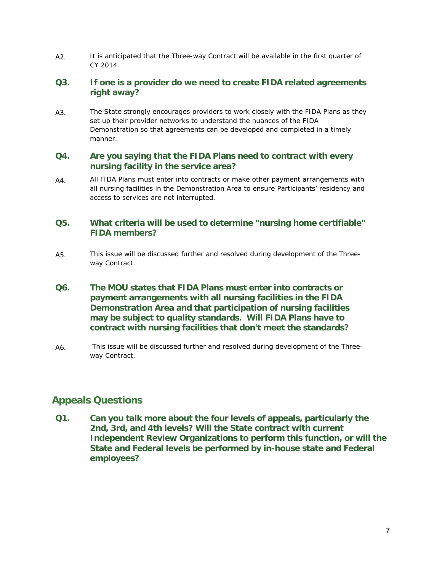A2. It is anticipated that the Three-way Contract will be available in the first quarter of CY 2014.

# **Q3. If one is a provider do we need to create FIDA related agreements right away?**

A3. The State strongly encourages providers to work closely with the FIDA Plans as they set up their provider networks to understand the nuances of the FIDA Demonstration so that agreements can be developed and completed in a timely manner.

### **Q4. Are you saying that the FIDA Plans need to contract with every nursing facility in the service area?**

A4. All FIDA Plans must enter into contracts or make other payment arrangements with all nursing facilities in the Demonstration Area to ensure Participants' residency and access to services are not interrupted.

# **Q5. What criteria will be used to determine "nursing home certifiable" FIDA members?**

- A5. This issue will be discussed further and resolved during development of the Threeway Contract.
- **Q6. The MOU states that FIDA Plans must enter into contracts or payment arrangements with all nursing facilities in the FIDA Demonstration Area and that participation of nursing facilities may be subject to quality standards. Will FIDA Plans have to contract with nursing facilities that don't meet the standards?**
- A6. This issue will be discussed further and resolved during development of the Threeway Contract.

# **Appeals Questions**

**Q1. Can you talk more about the four levels of appeals, particularly the 2nd, 3rd, and 4th levels? Will the State contract with current Independent Review Organizations to perform this function, or will the State and Federal levels be performed by in-house state and Federal employees?**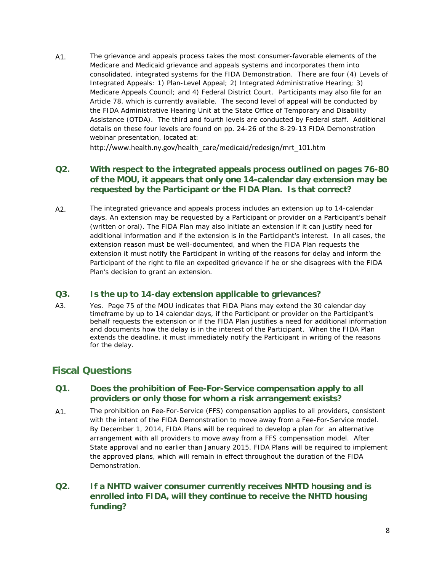A1. The grievance and appeals process takes the most consumer-favorable elements of the Medicare and Medicaid grievance and appeals systems and incorporates them into consolidated, integrated systems for the FIDA Demonstration. There are four (4) Levels of Integrated Appeals: 1) Plan-Level Appeal; 2) Integrated Administrative Hearing; 3) Medicare Appeals Council; and 4) Federal District Court. Participants may also file for an Article 78, which is currently available. The second level of appeal will be conducted by the FIDA Administrative Hearing Unit at the State Office of Temporary and Disability Assistance (OTDA). The third and fourth levels are conducted by Federal staff. Additional details on these four levels are found on pp. 24-26 of the 8-29-13 FIDA Demonstration webinar presentation, located at:

[http://www.health.ny.gov/health\\_care/medicaid/redesign/mrt\\_101.htm](http://www.health.ny.gov/health_care/medicaid/redesign/mrt_101.htm)

# **Q2. With respect to the integrated appeals process outlined on pages 76-80 of the MOU, it appears that only one 14-calendar day extension may be requested by the Participant or the FIDA Plan. Is that correct?**

A2. The integrated grievance and appeals process includes an extension up to 14-calendar days. An extension may be requested by a Participant or provider on a Participant's behalf (written or oral). The FIDA Plan may also initiate an extension if it can justify need for additional information and if the extension is in the Participant's interest. In all cases, the extension reason must be well-documented, and when the FIDA Plan requests the extension it must notify the Participant in writing of the reasons for delay and inform the Participant of the right to file an expedited grievance if he or she disagrees with the FIDA Plan's decision to grant an extension.

### **Q3. Is the up to 14-day extension applicable to grievances?**

A3. Yes. Page 75 of the MOU indicates that FIDA Plans may extend the 30 calendar day timeframe by up to 14 calendar days, if the Participant or provider on the Participant's behalf requests the extension or if the FIDA Plan justifies a need for additional information and documents how the delay is in the interest of the Participant. When the FIDA Plan extends the deadline, it must immediately notify the Participant in writing of the reasons for the delay.

# **Fiscal Questions**

# **Q1. Does the prohibition of Fee-For-Service compensation apply to all providers or only those for whom a risk arrangement exists?**

A1. The prohibition on Fee-For-Service (FFS) compensation applies to all providers, consistent with the intent of the FIDA Demonstration to move away from a Fee-For-Service model. By December 1, 2014, FIDA Plans will be required to develop a plan for an alternative arrangement with all providers to move away from a FFS compensation model. After State approval and no earlier than January 2015, FIDA Plans will be required to implement the approved plans, which will remain in effect throughout the duration of the FIDA Demonstration.

# **Q2. If a NHTD waiver consumer currently receives NHTD housing and is enrolled into FIDA, will they continue to receive the NHTD housing funding?**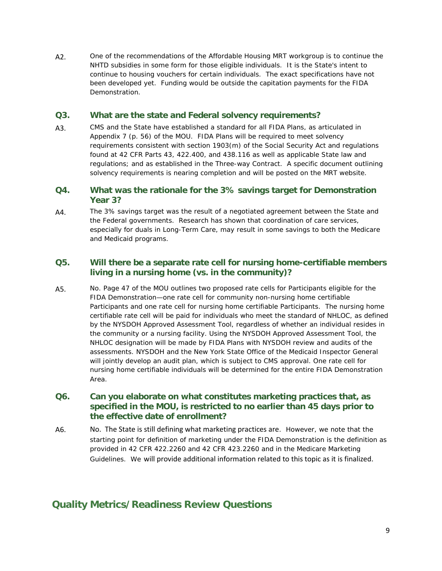A2. One of the recommendations of the Affordable Housing MRT workgroup is to continue the NHTD subsidies in some form for those eligible individuals. It is the State's intent to continue to housing vouchers for certain individuals. The exact specifications have not been developed yet. Funding would be outside the capitation payments for the FIDA Demonstration.

### **Q3. What are the state and Federal solvency requirements?**

A3. CMS and the State have established a standard for all FIDA Plans, as articulated in Appendix 7 (p. 56) of the MOU. FIDA Plans will be required to meet solvency requirements consistent with section 1903(m) of the Social Security Act and regulations found at 42 CFR Parts 43, 422.400, and 438.116 as well as applicable State law and regulations; and as established in the Three-way Contract. A specific document outlining solvency requirements is nearing completion and will be posted on the MRT website.

## **Q4. What was the rationale for the 3% savings target for Demonstration Year 3?**

A4. The 3% savings target was the result of a negotiated agreement between the State and the Federal governments. Research has shown that coordination of care services, especially for duals in Long-Term Care, may result in some savings to both the Medicare and Medicaid programs.

## **Q5. Will there be a separate rate cell for nursing home-certifiable members living in a nursing home (vs. in the community)?**

A5. No. Page 47 of the MOU outlines two proposed rate cells for Participants eligible for the FIDA Demonstration—one rate cell for community non-nursing home certifiable Participants and one rate cell for nursing home certifiable Participants. The nursing home certifiable rate cell will be paid for individuals who meet the standard of NHLOC, as defined by the NYSDOH Approved Assessment Tool, regardless of whether an individual resides in the community or a nursing facility. Using the NYSDOH Approved Assessment Tool, the NHLOC designation will be made by FIDA Plans with NYSDOH review and audits of the assessments. NYSDOH and the New York State Office of the Medicaid Inspector General will jointly develop an audit plan, which is subject to CMS approval. One rate cell for nursing home certifiable individuals will be determined for the entire FIDA Demonstration Area.

# **Q6. Can you elaborate on what constitutes marketing practices that, as specified in the MOU, is restricted to no earlier than 45 days prior to the effective date of enrollment?**

A6. No. The State is still defining what marketing practices are. However, we note that the starting point for definition of marketing under the FIDA Demonstration is the definition as provided in 42 CFR 422.2260 and 42 CFR 423.2260 and in the Medicare Marketing Guidelines. We will provide additional information related to this topic as it is finalized.

# **Quality Metrics/Readiness Review Questions**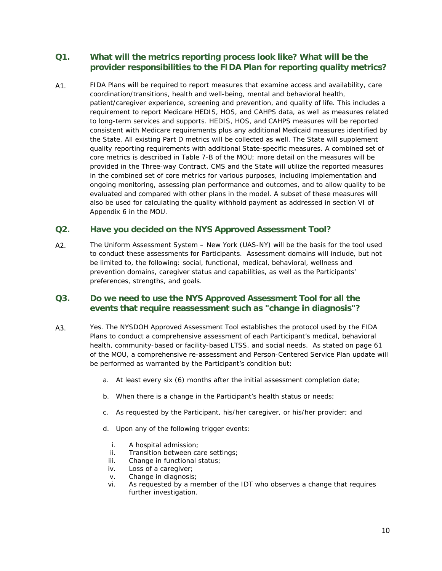# **Q1. What will the metrics reporting process look like? What will be the provider responsibilities to the FIDA Plan for reporting quality metrics?**

A1. FIDA Plans will be required to report measures that examine access and availability, care coordination/transitions, health and well-being, mental and behavioral health, patient/caregiver experience, screening and prevention, and quality of life. This includes a requirement to report Medicare HEDIS, HOS, and CAHPS data, as well as measures related to long-term services and supports. HEDIS, HOS, and CAHPS measures will be reported consistent with Medicare requirements plus any additional Medicaid measures identified by the State. All existing Part D metrics will be collected as well. The State will supplement quality reporting requirements with additional State-specific measures. A combined set of core metrics is described in Table 7-B of the MOU; more detail on the measures will be provided in the Three-way Contract. CMS and the State will utilize the reported measures in the combined set of core metrics for various purposes, including implementation and ongoing monitoring, assessing plan performance and outcomes, and to allow quality to be evaluated and compared with other plans in the model. A subset of these measures will also be used for calculating the quality withhold payment as addressed in section VI of Appendix 6 in the MOU.

### **Q2. Have you decided on the NYS Approved Assessment Tool?**

A2. The Uniform Assessment System – New York (UAS-NY) will be the basis for the tool used to conduct these assessments for Participants. Assessment domains will include, but not be limited to, the following: social, functional, medical, behavioral, wellness and prevention domains, caregiver status and capabilities, as well as the Participants' preferences, strengths, and goals.

### **Q3. Do we need to use the NYS Approved Assessment Tool for all the events that require reassessment such as "change in diagnosis"?**

- A3. Yes. The NYSDOH Approved Assessment Tool establishes the protocol used by the FIDA Plans to conduct a comprehensive assessment of each Participant's medical, behavioral health, community-based or facility-based LTSS, and social needs. As stated on page 61 of the MOU, a comprehensive re-assessment and Person-Centered Service Plan update will be performed as warranted by the Participant's condition but:
	- a. At least every six (6) months after the initial assessment completion date;
	- b. When there is a change in the Participant's health status or needs;
	- c. As requested by the Participant, his/her caregiver, or his/her provider; and
	- d. Upon any of the following trigger events:
		- i. A hospital admission;
		- ii. Transition between care settings;
		- iii. Change in functional status;
		- iv. Loss of a caregiver;
		- v. Change in diagnosis;
		- vi. As requested by a member of the IDT who observes a change that requires further investigation.